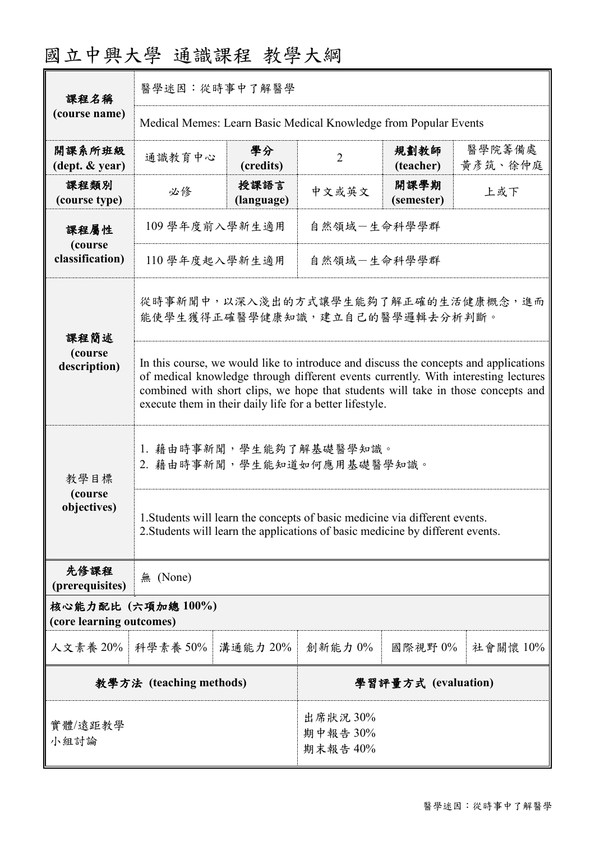# 國立中興大學 通識課程 教學大綱

| 課程名稱                                           | 醫學述因:從時事中了解醫學                                                                                                                                                                                                                                                                                                              |                                  |                |                    |                   |  |
|------------------------------------------------|----------------------------------------------------------------------------------------------------------------------------------------------------------------------------------------------------------------------------------------------------------------------------------------------------------------------------|----------------------------------|----------------|--------------------|-------------------|--|
| (course name)                                  | Medical Memes: Learn Basic Medical Knowledge from Popular Events                                                                                                                                                                                                                                                           |                                  |                |                    |                   |  |
| 開課系所班級<br>(dept. & year)                       | 通識教育中心                                                                                                                                                                                                                                                                                                                     | 學分<br>(credits)                  | $\overline{2}$ | 規劃教師<br>(teacher)  | 醫學院籌備處<br>黃彥筑、徐仲庭 |  |
| 課程類別<br>(course type)                          | 必修                                                                                                                                                                                                                                                                                                                         | 授課語言<br>(language)               | 中文或英文          | 開課學期<br>(semester) | 上或下               |  |
| 課程屬性<br>(course<br>classification)             | 109 學年度前入學新生適用<br>自然領域-生命科學學群                                                                                                                                                                                                                                                                                              |                                  |                |                    |                   |  |
|                                                | 110 學年度起入學新生適用<br>自然領域-生命科學學群                                                                                                                                                                                                                                                                                              |                                  |                |                    |                   |  |
| 課程簡述                                           | 從時事新聞中,以深入淺出的方式讓學生能夠了解正確的生活健康概念,進而<br>能使學生獲得正確醫學健康知識,建立自己的醫學邏輯去分析判斷。                                                                                                                                                                                                                                                       |                                  |                |                    |                   |  |
| (course<br>description)                        | In this course, we would like to introduce and discuss the concepts and applications<br>of medical knowledge through different events currently. With interesting lectures<br>combined with short clips, we hope that students will take in those concepts and<br>execute them in their daily life for a better lifestyle. |                                  |                |                    |                   |  |
| 教學目標<br>(course<br>objectives)                 | 1. 藉由時事新聞,學生能夠了解基礎醫學知識。<br>2. 藉由時事新聞,學生能知道如何應用基礎醫學知識。                                                                                                                                                                                                                                                                      |                                  |                |                    |                   |  |
|                                                | 1. Students will learn the concepts of basic medicine via different events.<br>2. Students will learn the applications of basic medicine by different events.                                                                                                                                                              |                                  |                |                    |                   |  |
| 先修課程<br>(prerequisites)                        | 無 (None)                                                                                                                                                                                                                                                                                                                   |                                  |                |                    |                   |  |
| 核心能力配比 (六項加總 100%)<br>(core learning outcomes) |                                                                                                                                                                                                                                                                                                                            |                                  |                |                    |                   |  |
| 人文素養 20%                                       | 科學素養 50%                                                                                                                                                                                                                                                                                                                   | 溝通能力 20%                         | 創新能力0%         | 國際視野 0%            | 社會關懷 10%          |  |
| 教學方法 (teaching methods)                        |                                                                                                                                                                                                                                                                                                                            | 學習評量方式 (evaluation)              |                |                    |                   |  |
| 實體/遠距教學<br>小組討論                                |                                                                                                                                                                                                                                                                                                                            | 出席狀況 30%<br>期中報告 30%<br>期末報告 40% |                |                    |                   |  |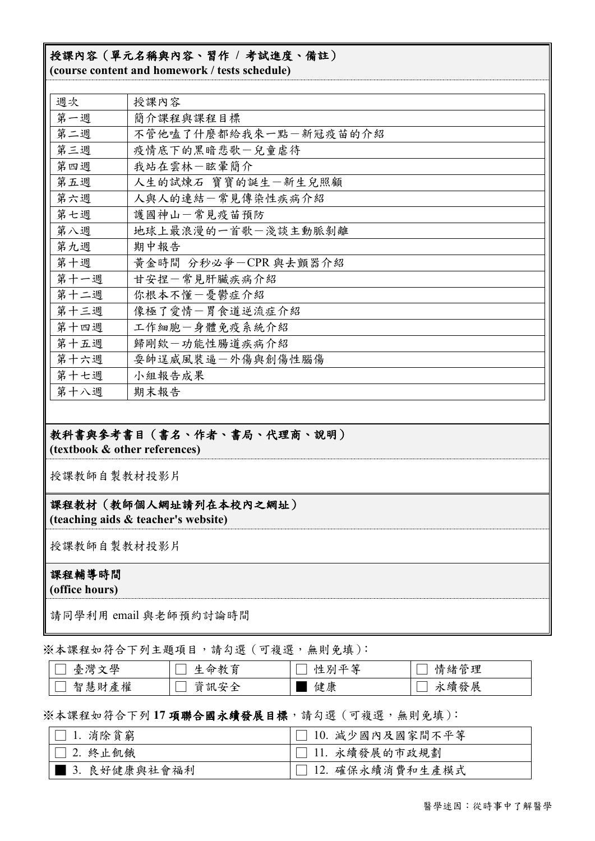## 授課內容(單元名稱與內容、習作 **/** 考試進度、備註)

**(course content and homework / tests schedule)**

| 週次   | 授課內容                  |
|------|-----------------------|
| 第一週  | 簡介課程與課程目標             |
| 第二週  | 不管他嗑了什麼都給我來一點一新冠疫苗的介紹 |
| 第三週  | 疫情底下的黑暗悲歌一兒童虐待        |
| 第四週  | 我站在雲林一眩暈簡介            |
| 第五週  | 人生的試煉石 寶寶的誕生一新生兒照顧    |
| 第六週  | 人與人的連結一常見傳染性疾病介紹      |
| 第七週  | 護國神山一常見疫苗預防           |
| 第八週  | 地球上最浪漫的一首歌一淺談主動脈剝離    |
| 第九週  | 期中報告                  |
| 第十週  | 黃金時間 分秒必爭-CPR 與去顫器介紹  |
| 第十一週 | 甘安捏一常見肝臟疾病介紹          |
| 第十二週 | 你根本不懂一憂鬱症介紹           |
| 第十三週 | 像極了愛情一胃食道逆流症介紹        |
| 第十四週 | 工作細胞一身體免疫系統介紹         |
| 第十五週 | 歸剛欸一功能性腸道疾病介紹         |
| 第十六週 | 耍帥逞威風裝逼一外傷與創傷性腦傷      |
| 第十七週 | 小組報告成果                |
| 第十八週 | 期末報告                  |

## 教科書與參考書目(書名、作者、書局、代理商、說明)

**(textbook & other references)**

授課教師自製教材投影片

## 課程教材(教師個人網址請列在本校內之網址)

**(teaching aids & teacher's website)**

授課教師自製教材投影片

#### 課程輔導時間

**(office hours)**

請同學利用 email 與老師預約討論時間

※本課程如符合下列主題項目,請勾選(可複選,無則免填):

| 文學<br>灣<br>一 一 | .命教育<br>生     | 亚笙<br>性<br>ЖIJ | 情緒管理 |
|----------------|---------------|----------------|------|
| 產權<br>智慧<br>財  | 写全<br>貣<br>訊女 | 健康             | 永續發展 |

#### ※本課程如符合下列 **17** 項聯合國永續發展目標,請勾選(可複選,無則免填):

| $ \Box$ 1. 消除貧窮 | $ \bigcap$ 10. 减少國內及國家間不平等 |
|-----------------|----------------------------|
| $ \Box$ 2. 终止飢餓 | □ 11. 永續發展的市政規劃            |
| │ │ 3.良好健康與社會福利 | □ 12. 確保永續消費和生產模式          |